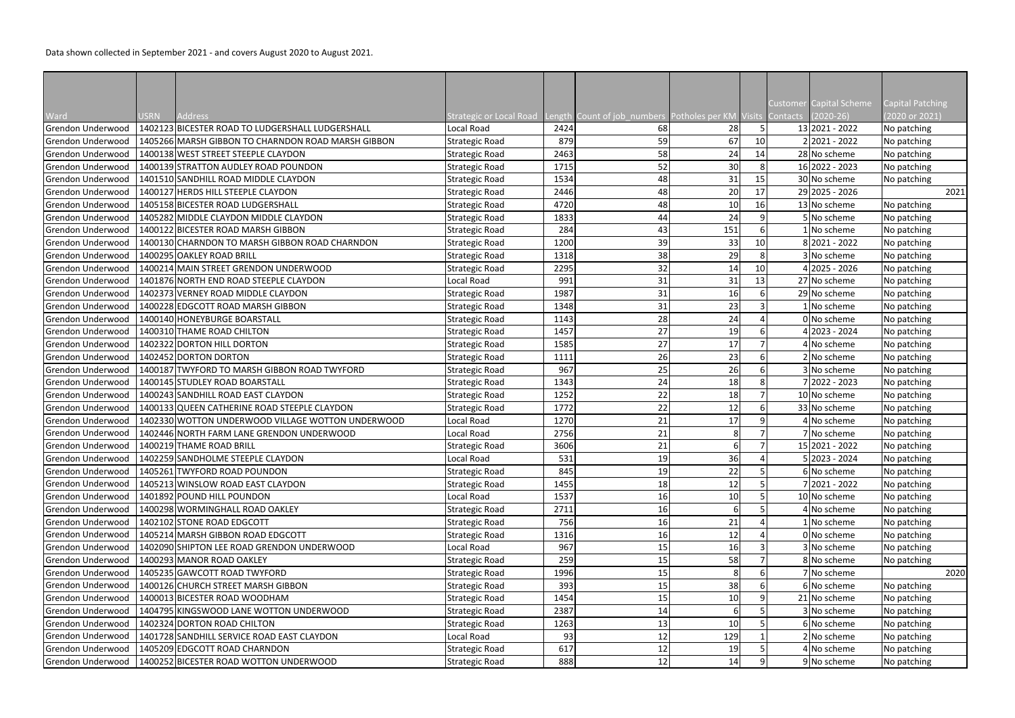|                                        |             |                                                                      |                                                                                     |              |          |                 |                | Customer Capital Scheme       | <b>Capital Patching</b>    |
|----------------------------------------|-------------|----------------------------------------------------------------------|-------------------------------------------------------------------------------------|--------------|----------|-----------------|----------------|-------------------------------|----------------------------|
| Ward                                   | <b>JSRN</b> | Address                                                              | Strategic or Local Road Length Count of job numbers Potholes per KM Visits Contacts |              |          |                 |                | $(2020-26)$                   | 2020 or 2021)              |
| Grendon Underwood                      |             | 1402123 BICESTER ROAD TO LUDGERSHALL LUDGERSHALL                     | Local Road                                                                          | 2424         | 68       | 28              | 5              | 13 2021 - 2022                | No patching                |
| Grendon Underwood                      |             | 1405266 MARSH GIBBON TO CHARNDON ROAD MARSH GIBBON                   | Strategic Road                                                                      | 879          | 59       | 67              | 10             | 2 2021 - 2022                 | No patching                |
| Grendon Underwood                      |             | 1400138 WEST STREET STEEPLE CLAYDON                                  | <b>Strategic Road</b>                                                               | 2463         | 58       | 24              | 14             | 28 No scheme                  | No patching                |
| Grendon Underwood                      |             | 1400139 STRATTON AUDLEY ROAD POUNDON                                 | <b>Strategic Road</b>                                                               | 1715         | 52       | 30              | 8              | 16 2022 - 2023                | No patching                |
| Grendon Underwood                      |             | 1401510 SANDHILL ROAD MIDDLE CLAYDON                                 | <b>Strategic Road</b>                                                               | 1534         | 48       | 31              | 15             | 30 No scheme                  | No patching                |
| Grendon Underwood                      |             | 1400127 HERDS HILL STEEPLE CLAYDON                                   | <b>Strategic Road</b>                                                               | 2446         | 48       | 20              | 17             | 29 2025 - 2026                | 2021                       |
| Grendon Underwood                      |             | 1405158 BICESTER ROAD LUDGERSHALL                                    | <b>Strategic Road</b>                                                               | 4720         | 48       | 10              | 16             | 13 No scheme                  | No patching                |
| Grendon Underwood                      |             | 1405282 MIDDLE CLAYDON MIDDLE CLAYDON                                | <b>Strategic Road</b>                                                               | 1833         | 44       | 24              | 9              | 5 No scheme                   | No patching                |
| Grendon Underwood                      |             | 1400122 BICESTER ROAD MARSH GIBBON                                   | <b>Strategic Road</b>                                                               | 284          | 43       | 151             | 6              | No scheme                     | No patching                |
| Grendon Underwood                      |             | 1400130 CHARNDON TO MARSH GIBBON ROAD CHARNDON                       | <b>Strategic Road</b>                                                               | 1200         | 39       | 33              | 10             | 8 2021 - 2022                 | No patching                |
| Grendon Underwood                      |             | 1400295 OAKLEY ROAD BRILL                                            | <b>Strategic Road</b>                                                               | 1318         | 38       | 29              | 8 <sup>1</sup> | 3 No scheme                   | No patching                |
| Grendon Underwood                      |             | 1400214 MAIN STREET GRENDON UNDERWOOD                                | <b>Strategic Road</b>                                                               | 2295         | 32       | 14              | 10             | 4 2025 - 2026                 | No patching                |
| Grendon Underwood                      |             | 1401876 NORTH END ROAD STEEPLE CLAYDON                               | Local Road                                                                          | 991          | 31       | 31              | 13             | 27 No scheme                  | No patching                |
| Grendon Underwood                      |             | 1402373 VERNEY ROAD MIDDLE CLAYDON                                   | <b>Strategic Road</b>                                                               | 1987         | 31       | 16              |                | 29 No scheme                  | No patching                |
| Grendon Underwood                      |             | 1400228 EDGCOTT ROAD MARSH GIBBON                                    | <b>Strategic Road</b>                                                               | 1348         | 31       | 23              |                | No scheme                     | No patching                |
| Grendon Underwood                      |             | 1400140 HONEYBURGE BOARSTALL                                         | <b>Strategic Road</b>                                                               | 1143         | 28       | 24              |                | 0 No scheme                   | No patching                |
| Grendon Underwood                      |             | 1400310 THAME ROAD CHILTON                                           | <b>Strategic Road</b>                                                               | 1457         | 27       | 19              | 6              | $4 2023 - 2024$               | No patching                |
| Grendon Underwood                      |             | 1402322 DORTON HILL DORTON                                           | <b>Strategic Road</b>                                                               | 1585         | 27       | 17              |                | 4 No scheme                   | No patching                |
| Grendon Underwood                      |             | 1402452 DORTON DORTON                                                | <b>Strategic Road</b>                                                               | 1111         | 26       | 23              | 6              | 2 No scheme                   | No patching                |
| Grendon Underwood                      |             | 1400187 TWYFORD TO MARSH GIBBON ROAD TWYFORD                         | <b>Strategic Road</b>                                                               | 967          | 25       | 26              | 6              | 3 No scheme                   | No patching                |
| Grendon Underwood                      |             | 1400145 STUDLEY ROAD BOARSTALL<br>1400243 SANDHILL ROAD EAST CLAYDON | <b>Strategic Road</b><br><b>Strategic Road</b>                                      | 1343<br>1252 | 24<br>22 | 18<br>18        | 8              | 7 2022 - 2023<br>10 No scheme | No patching                |
| Grendon Underwood<br>Grendon Underwood |             | 1400133 QUEEN CATHERINE ROAD STEEPLE CLAYDON                         | <b>Strategic Road</b>                                                               | 1772         | 22       | 12              | 6              | 33 No scheme                  | No patching<br>No patching |
| Grendon Underwood                      |             | 1402330 WOTTON UNDERWOOD VILLAGE WOTTON UNDERWOOD                    | Local Road                                                                          | 1270         | 21       | 17              | 9              | 4 No scheme                   | No patching                |
| Grendon Underwood                      |             | 1402446 NORTH FARM LANE GRENDON UNDERWOOD                            | Local Road                                                                          | 2756         | 21       | 8               |                | 7 No scheme                   | No patching                |
| Grendon Underwood                      |             | 1400219 THAME ROAD BRILL                                             | Strategic Road                                                                      | 3606         | 21       | $6 \mid$        |                | 15 2021 - 2022                | No patching                |
| Grendon Underwood                      |             | 1402259 SANDHOLME STEEPLE CLAYDON                                    | Local Road                                                                          | 531          | 19       | 36              | 4              | 5 2023 - 2024                 | No patching                |
| Grendon Underwood                      |             | 1405261 TWYFORD ROAD POUNDON                                         | <b>Strategic Road</b>                                                               | 845          | 19       | 22              |                | 6 No scheme                   | No patching                |
| Grendon Underwood                      |             | 1405213 WINSLOW ROAD EAST CLAYDON                                    | <b>Strategic Road</b>                                                               | 1455         | 18       | 12              |                | 7 2021 - 2022                 | No patching                |
| Grendon Underwood                      |             | 1401892 POUND HILL POUNDON                                           | Local Road                                                                          | 1537         | 16       | 10              |                | 10 No scheme                  | No patching                |
| Grendon Underwood                      |             | 1400298 WORMINGHALL ROAD OAKLEY                                      | <b>Strategic Road</b>                                                               | 2711         | 16       | 6               |                | 4 No scheme                   | No patching                |
| Grendon Underwood                      |             | 1402102 STONE ROAD EDGCOTT                                           | <b>Strategic Road</b>                                                               | 756          | 16       | 21              |                | No scheme                     | No patching                |
| Grendon Underwood                      |             | 1405214 MARSH GIBBON ROAD EDGCOTT                                    | <b>Strategic Road</b>                                                               | 1316         | 16       | 12              |                | 0 No scheme                   | No patching                |
| Grendon Underwood                      |             | 1402090 SHIPTON LEE ROAD GRENDON UNDERWOOD                           | Local Road                                                                          | 967          | 15       | 16              |                | 3 No scheme                   | No patching                |
| Grendon Underwood                      |             | 1400293 MANOR ROAD OAKLEY                                            | <b>Strategic Road</b>                                                               | 259          | 15       | 58              |                | 8 No scheme                   | No patching                |
| Grendon Underwood                      |             | 1405235 GAWCOTT ROAD TWYFORD                                         | <b>Strategic Road</b>                                                               | 1996         | 15       | 8               |                | 7 No scheme                   | 2020                       |
| Grendon Underwood                      |             | 1400126 CHURCH STREET MARSH GIBBON                                   | <b>Strategic Road</b>                                                               | 393          | 15       | 38              |                | 6 No scheme                   | No patching                |
| Grendon Underwood                      |             | 1400013 BICESTER ROAD WOODHAM                                        | <b>Strategic Road</b>                                                               | 1454         | 15       | 10              |                | 21 No scheme                  | No patching                |
| Grendon Underwood                      |             | 1404795 KINGSWOOD LANE WOTTON UNDERWOOD                              | <b>Strategic Road</b>                                                               | 2387         | 14       |                 |                | 3 No scheme                   | No patching                |
| Grendon Underwood                      |             | 1402324 DORTON ROAD CHILTON                                          | <b>Strategic Road</b>                                                               | 1263         | 13       | 10 <sup>1</sup> |                | 6 No scheme                   | No patching                |
| Grendon Underwood                      |             | 1401728 SANDHILL SERVICE ROAD EAST CLAYDON                           | Local Road                                                                          | 93           | 12       | 129             |                | 2 No scheme                   | No patching                |
| Grendon Underwood                      |             | 1405209 EDGCOTT ROAD CHARNDON                                        | <b>Strategic Road</b>                                                               | 617          | 12       | 19              |                | 4 No scheme                   | No patching                |
| Grendon Underwood                      |             | 1400252 BICESTER ROAD WOTTON UNDERWOOD                               | <b>Strategic Road</b>                                                               | 888          | 12       | 14              |                | 9 No scheme                   | No patching                |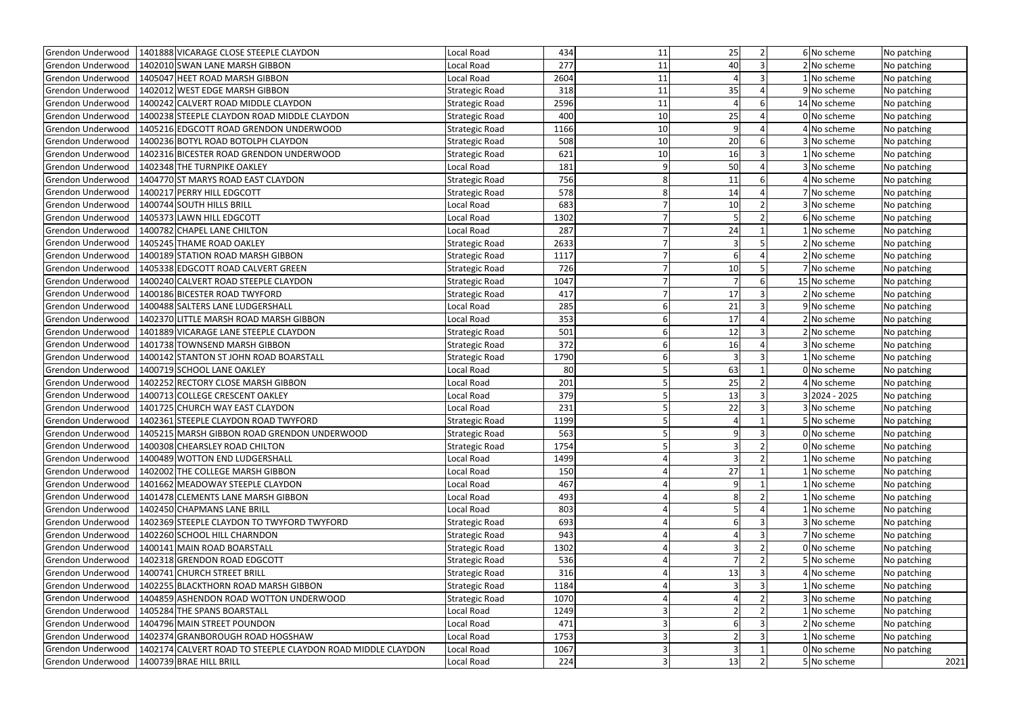| Grendon Underwood        | 1401888 VICARAGE CLOSE STEEPLE CLAYDON                          | Local Road            | 434  | 11             | 25              | $\overline{2}$ | 6 No scheme   | No patching |
|--------------------------|-----------------------------------------------------------------|-----------------------|------|----------------|-----------------|----------------|---------------|-------------|
| Grendon Underwood        | 1402010 SWAN LANE MARSH GIBBON                                  | Local Road            | 277  | 11             | 40              |                | 2 No scheme   | No patching |
| <b>Grendon Underwood</b> | 1405047 HEET ROAD MARSH GIBBON                                  | Local Road            | 2604 | 11             |                 |                | No scheme     | No patching |
| Grendon Underwood        | 1402012 WEST EDGE MARSH GIBBON                                  | <b>Strategic Road</b> | 318  | 11             | 35              |                | 9 No scheme   | No patching |
| <b>Grendon Underwood</b> | 1400242 CALVERT ROAD MIDDLE CLAYDON                             | <b>Strategic Road</b> | 2596 | 11             |                 |                | 14 No scheme  | No patching |
| Grendon Underwood        | 1400238 STEEPLE CLAYDON ROAD MIDDLE CLAYDON                     | <b>Strategic Road</b> | 400  | 10             | 25              |                | 0 No scheme   | No patching |
| Grendon Underwood        | 1405216 EDGCOTT ROAD GRENDON UNDERWOOD                          | <b>Strategic Road</b> | 1166 | 10             | q               |                | 4 No scheme   | No patching |
| Grendon Underwood        | 1400236 BOTYL ROAD BOTOLPH CLAYDON                              | <b>Strategic Road</b> | 508  | 10             | 20              | 6              | 3 No scheme   | No patching |
| Grendon Underwood        | 1402316 BICESTER ROAD GRENDON UNDERWOOD                         | <b>Strategic Road</b> | 621  | 10             | 16              |                | No scheme     | No patching |
| Grendon Underwood        | 1402348 THE TURNPIKE OAKLEY                                     | Local Road            | 181  | 9              | 50              |                | 3 No scheme   | No patching |
| Grendon Underwood        | 1404770 ST MARYS ROAD EAST CLAYDON                              | Strategic Road        | 756  | 8              | 11              | 6              | 4 No scheme   | No patching |
| Grendon Underwood        | 1400217 PERRY HILL EDGCOTT                                      | <b>Strategic Road</b> | 578  |                | 14              | $\Delta$       | 7 No scheme   | No patching |
| Grendon Underwood        | 1400744 SOUTH HILLS BRILL                                       | Local Road            | 683  |                | 10 <sub>1</sub> |                | 3 No scheme   | No patching |
| Grendon Underwood        | 1405373 LAWN HILL EDGCOTT                                       | Local Road            | 1302 |                |                 |                | 6 No scheme   | No patching |
| Grendon Underwood        | 1400782 CHAPEL LANE CHILTON                                     | Local Road            | 287  |                | 24              |                | No scheme     | No patching |
| Grendon Underwood        | 1405245 THAME ROAD OAKLEY                                       | <b>Strategic Road</b> | 2633 |                | 3               |                | 2 No scheme   | No patching |
| Grendon Underwood        | 1400189 STATION ROAD MARSH GIBBON                               | Strategic Road        | 1117 |                | 6               |                | 2 No scheme   | No patching |
| Grendon Underwood        | 1405338 EDGCOTT ROAD CALVERT GREEN                              | <b>Strategic Road</b> | 726  |                | 10 <sub>1</sub> |                | 7 No scheme   | No patching |
| Grendon Underwood        | 1400240 CALVERT ROAD STEEPLE CLAYDON                            | <b>Strategic Road</b> | 1047 |                |                 | 6              | 15 No scheme  | No patching |
| Grendon Underwood        | 1400186 BICESTER ROAD TWYFORD                                   | <b>Strategic Road</b> | 417  |                | 17              |                | 2 No scheme   | No patching |
| Grendon Underwood        | 1400488 SALTERS LANE LUDGERSHALL                                | Local Road            | 285  |                | 21              |                | 9 No scheme   | No patching |
| Grendon Underwood        | 1402370 LITTLE MARSH ROAD MARSH GIBBON                          | Local Road            | 353  |                | 17              |                | 2 No scheme   | No patching |
| Grendon Underwood        | 1401889 VICARAGE LANE STEEPLE CLAYDON                           | <b>Strategic Road</b> | 501  |                | 12              |                | 2 No scheme   | No patching |
| Grendon Underwood        | 1401738 TOWNSEND MARSH GIBBON                                   | <b>Strategic Road</b> | 372  |                | 16              |                | 3 No scheme   | No patching |
| Grendon Underwood        | 1400142 STANTON ST JOHN ROAD BOARSTALL                          | <b>Strategic Road</b> | 1790 |                |                 |                | No scheme     | No patching |
| Grendon Underwood        | 1400719 SCHOOL LANE OAKLEY                                      | Local Road            | 80   |                | 63              |                | 0 No scheme   | No patching |
| Grendon Underwood        | 1402252 RECTORY CLOSE MARSH GIBBON                              | Local Road            | 201  |                | 25              |                | 4 No scheme   | No patching |
| <b>Grendon Underwood</b> | 1400713 COLLEGE CRESCENT OAKLEY                                 | Local Road            | 379  |                | 13              |                | 3 2024 - 2025 | No patching |
| Grendon Underwood        | 1401725 CHURCH WAY EAST CLAYDON                                 | Local Road            | 231  |                | 22              |                | 3 No scheme   | No patching |
| <b>Grendon Underwood</b> | 1402361 STEEPLE CLAYDON ROAD TWYFORD                            | <b>Strategic Road</b> | 1199 |                |                 |                | 5 No scheme   | No patching |
|                          | Grendon Underwood   1405215 MARSH GIBBON ROAD GRENDON UNDERWOOD | <b>Strategic Road</b> | 563  | 5 <sup>1</sup> | 9               | 3              | 0 No scheme   | No patching |
| Grendon Underwood        | 1400308 CHEARSLEY ROAD CHILTON                                  | Strategic Road        | 1754 |                | 3               |                | 0 No scheme   | No patching |
| Grendon Underwood        | 1400489 WOTTON END LUDGERSHALL                                  | Local Road            | 1499 |                |                 |                | 1 No scheme   | No patching |
| <b>Grendon Underwood</b> | 1402002 THE COLLEGE MARSH GIBBON                                | Local Road            | 150  |                | 27              |                | No scheme     | No patching |
| Grendon Underwood        | 1401662 MEADOWAY STEEPLE CLAYDON                                | Local Road            | 467  |                |                 |                | L No scheme   | No patching |
| Grendon Underwood        | 1401478 CLEMENTS LANE MARSH GIBBON                              | Local Road            | 493  |                |                 |                | No scheme     | No patching |
| Grendon Underwood        | 1402450 CHAPMANS LANE BRILL                                     | Local Road            | 803  |                |                 |                | 1 No scheme   | No patching |
| Grendon Underwood        | 1402369 STEEPLE CLAYDON TO TWYFORD TWYFORD                      | Strategic Road        | 693  |                |                 |                | 3 No scheme   | No patching |
| Grendon Underwood        | 1402260 SCHOOL HILL CHARNDON                                    | <b>Strategic Road</b> | 943  |                |                 |                | 7 No scheme   | No patching |
| Grendon Underwood        | 1400141 MAIN ROAD BOARSTALL                                     | <b>Strategic Road</b> | 1302 |                |                 |                | 0 No scheme   | No patching |
| Grendon Underwood        | 1402318 GRENDON ROAD EDGCOTT                                    | <b>Strategic Road</b> | 536  |                |                 |                | 5 No scheme   | No patching |
| Grendon Underwood        | 1400741 CHURCH STREET BRILL                                     | <b>Strategic Road</b> | 316  |                | 13              |                | 4 No scheme   | No patching |
| Grendon Underwood        | 1402255 BLACKTHORN ROAD MARSH GIBBON                            | <b>Strategic Road</b> | 1184 |                | 3               |                | No scheme     | No patching |
| Grendon Underwood        | 1404859 ASHENDON ROAD WOTTON UNDERWOOD                          | <b>Strategic Road</b> | 1070 |                |                 |                | 3 No scheme   | No patching |
| Grendon Underwood        | 1405284 THE SPANS BOARSTALL                                     | Local Road            | 1249 |                |                 |                | No scheme     | No patching |
| Grendon Underwood        | 1404796 MAIN STREET POUNDON                                     | Local Road            | 471  |                |                 |                | 2 No scheme   | No patching |
| Grendon Underwood        | 1402374 GRANBOROUGH ROAD HOGSHAW                                | Local Road            | 1753 |                |                 |                | No scheme     | No patching |
| Grendon Underwood        | 1402174 CALVERT ROAD TO STEEPLE CLAYDON ROAD MIDDLE CLAYDON     | Local Road            | 1067 |                |                 |                | 0 No scheme   | No patching |
| Grendon Underwood        | 1400739 BRAE HILL BRILL                                         | Local Road            | 224  |                | 13              |                | 5 No scheme   | 2021        |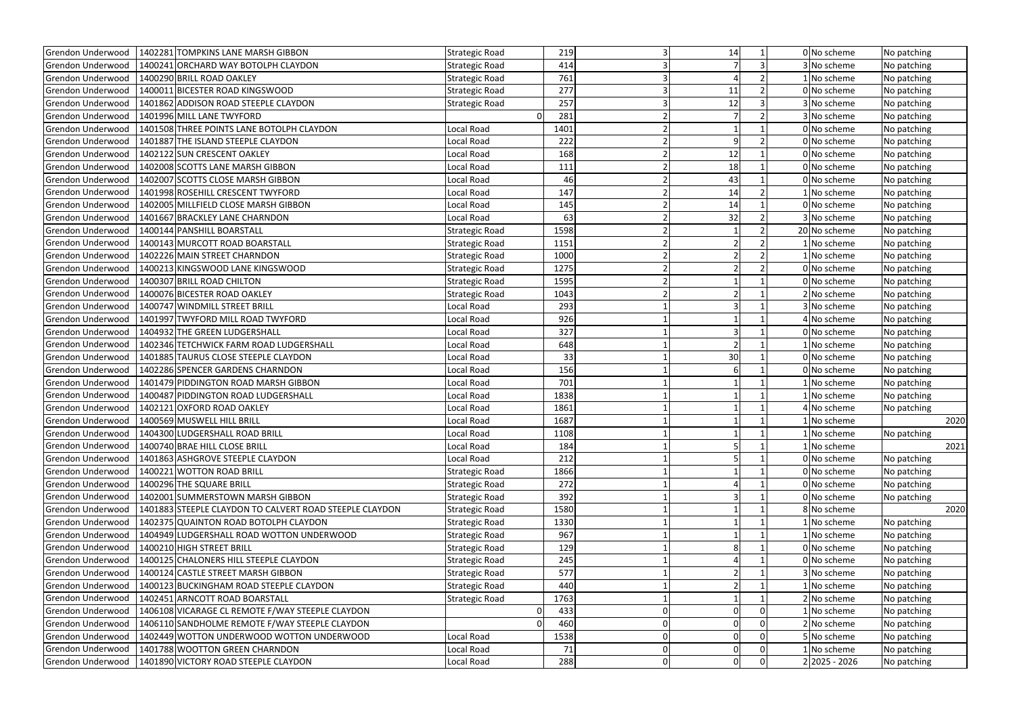| Grendon Underwood        | 1402281 TOMPKINS LANE MARSH GIBBON<br>1400241 ORCHARD WAY BOTOLPH CLAYDON | <b>Strategic Road</b> | 219        | 14 |                         | 0 No scheme     | No patching |
|--------------------------|---------------------------------------------------------------------------|-----------------------|------------|----|-------------------------|-----------------|-------------|
| Grendon Underwood        |                                                                           | <b>Strategic Road</b> | 414        |    |                         | 3 No scheme     | No patching |
| Grendon Underwood        | 1400290 BRILL ROAD OAKLEY<br>1400011 BICESTER ROAD KINGSWOOD              | <b>Strategic Road</b> | 761<br>277 |    | $\overline{2}$          | No scheme       | No patching |
| Grendon Underwood        |                                                                           | <b>Strategic Road</b> |            | 11 |                         | 0 No scheme     | No patching |
| Grendon Underwood        | 1401862 ADDISON ROAD STEEPLE CLAYDON                                      | <b>Strategic Road</b> | 257        | 12 |                         | 3 No scheme     | No patching |
| Grendon Underwood        | 1401996 MILL LANE TWYFORD                                                 | $\overline{0}$        | 281        |    |                         | 3 No scheme     | No patching |
| Grendon Underwood        | 1401508 THREE POINTS LANE BOTOLPH CLAYDON                                 | Local Road            | 1401       |    | $\mathsf{Q}$            | 0 No scheme     | No patching |
| Grendon Underwood        | 1401887 THE ISLAND STEEPLE CLAYDON                                        | Local Road            | 222        |    |                         | 0 No scheme     | No patching |
| Grendon Underwood        | 1402122 SUN CRESCENT OAKLEY                                               | Local Road            | 168        | 12 |                         | 0 No scheme     | No patching |
| Grendon Underwood        | 1402008 SCOTTS LANE MARSH GIBBON                                          | Local Road            | 111        |    | 18                      | 0 No scheme     | No patching |
| Grendon Underwood        | 1402007 SCOTTS CLOSE MARSH GIBBON                                         | Local Road            | 46         | 43 |                         | 0 No scheme     | No patching |
| Grendon Underwood        | 1401998 ROSEHILL CRESCENT TWYFORD                                         | Local Road            | 147        | 14 |                         | 1 No scheme     | No patching |
| Grendon Underwood        | 1402005 MILLFIELD CLOSE MARSH GIBBON                                      | Local Road            | 145        | 14 |                         | 0 No scheme     | No patching |
| Grendon Underwood        | 1401667 BRACKLEY LANE CHARNDON                                            | Local Road            | 63         | 32 |                         | 3 No scheme     | No patching |
| Grendon Underwood        | 1400144 PANSHILL BOARSTALL                                                | Strategic Road        | 1598       |    |                         | 20 No scheme    | No patching |
| Grendon Underwood        | 1400143 MURCOTT ROAD BOARSTALL                                            | <b>Strategic Road</b> | 1151       |    |                         | No scheme       | No patching |
| Grendon Underwood        | 1402226 MAIN STREET CHARNDON                                              | Strategic Road        | 1000       |    |                         | No scheme       | No patching |
| Grendon Underwood        | 1400213 KINGSWOOD LANE KINGSWOOD                                          | <b>Strategic Road</b> | 1275       |    |                         | 0 No scheme     | No patching |
| Grendon Underwood        | 1400307 BRILL ROAD CHILTON                                                | <b>Strategic Road</b> | 1595       |    |                         | 0 No scheme     | No patching |
| Grendon Underwood        | 1400076 BICESTER ROAD OAKLEY                                              | <b>Strategic Road</b> | 1043       |    |                         | 2 No scheme     | No patching |
| Grendon Underwood        | 1400747 WINDMILL STREET BRILL                                             | Local Road            | 293        |    |                         | 3 No scheme     | No patching |
| Grendon Underwood        | 1401997 TWYFORD MILL ROAD TWYFORD                                         | Local Road            | 926        |    |                         | 4 No scheme     | No patching |
| Grendon Underwood        | 1404932 THE GREEN LUDGERSHALL                                             | Local Road            | 327        |    |                         | 0 No scheme     | No patching |
| Grendon Underwood        | 1402346 TETCHWICK FARM ROAD LUDGERSHALL                                   | Local Road            | 648        |    |                         | No scheme       | No patching |
| Grendon Underwood        | 1401885 TAURUS CLOSE STEEPLE CLAYDON                                      | Local Road            | 33         | 30 |                         | 0 No scheme     | No patching |
| Grendon Underwood        | 1402286 SPENCER GARDENS CHARNDON                                          | Local Road            | 156        |    |                         | 0 No scheme     | No patching |
| Grendon Underwood        | 1401479 PIDDINGTON ROAD MARSH GIBBON                                      | Local Road            | 701        |    |                         | No scheme       | No patching |
| <b>Grendon Underwood</b> | 1400487 PIDDINGTON ROAD LUDGERSHALL                                       | Local Road            | 1838       |    |                         | No scheme       | No patching |
| Grendon Underwood        | 1402121 OXFORD ROAD OAKLEY                                                | Local Road            | 1861       |    |                         | 4 No scheme     | No patching |
| Grendon Underwood        | 1400569 MUSWELL HILL BRILL                                                | Local Road            | 1687       |    |                         | 1 No scheme     | 2020        |
|                          | Grendon Underwood   1404300 LUDGERSHALL ROAD BRILL                        | Local Road            | 1108       |    |                         | 1 No scheme     | No patching |
| Grendon Underwood        | 1400740 BRAE HILL CLOSE BRILL                                             | Local Road            | 184        |    |                         | No scheme       | 2021        |
| Grendon Underwood        | 1401863 ASHGROVE STEEPLE CLAYDON                                          | Local Road            | 212        |    |                         | 0 No scheme     | No patching |
| <b>Grendon Underwood</b> | 1400221 WOTTON ROAD BRILL                                                 | <b>Strategic Road</b> | 1866       |    |                         | 0 No scheme     | No patching |
| Grendon Underwood        | 1400296 THE SQUARE BRILL                                                  | <b>Strategic Road</b> | 272        |    |                         | 0 No scheme     | No patching |
| Grendon Underwood        | 1402001 SUMMERSTOWN MARSH GIBBON                                          | <b>Strategic Road</b> | 392        |    |                         | 0 No scheme     | No patching |
| Grendon Underwood        | 1401883 STEEPLE CLAYDON TO CALVERT ROAD STEEPLE CLAYDON                   | <b>Strategic Road</b> | 1580       |    |                         | 8 No scheme     | 2020        |
| Grendon Underwood        | 1402375 QUAINTON ROAD BOTOLPH CLAYDON                                     | <b>Strategic Road</b> | 1330       |    |                         | No scheme       | No patching |
| Grendon Underwood        | 1404949 LUDGERSHALL ROAD WOTTON UNDERWOOD                                 | <b>Strategic Road</b> | 967        |    |                         | 1 No scheme     | No patching |
| Grendon Underwood        | 1400210 HIGH STREET BRILL                                                 | <b>Strategic Road</b> | 129        |    |                         | 0 No scheme     | No patching |
| Grendon Underwood        | 1400125 CHALONERS HILL STEEPLE CLAYDON                                    | <b>Strategic Road</b> | 245        |    |                         | 0 No scheme     | No patching |
| Grendon Underwood        | 1400124 CASTLE STREET MARSH GIBBON                                        | <b>Strategic Road</b> | 577        |    |                         | 3 No scheme     | No patching |
| Grendon Underwood        | 1400123 BUCKINGHAM ROAD STEEPLE CLAYDON                                   | <b>Strategic Road</b> | 440        |    |                         | No scheme       | No patching |
| Grendon Underwood        | 1402451 ARNCOTT ROAD BOARSTALL                                            | <b>Strategic Road</b> | 1763       |    |                         | 2 No scheme     | No patching |
| Grendon Underwood        | 1406108 VICARAGE CL REMOTE F/WAY STEEPLE CLAYDON                          | 0                     | 433        |    | $\Omega$                | No scheme       | No patching |
| Grendon Underwood        | 1406110 SANDHOLME REMOTE F/WAY STEEPLE CLAYDON                            | $\Omega$              | 460        |    | 0                       | 2 No scheme     | No patching |
| Grendon Underwood        | 1402449 WOTTON UNDERWOOD WOTTON UNDERWOOD                                 | Local Road            | 1538       |    | $\Omega$<br>0           | No scheme       | No patching |
| Grendon Underwood        | 1401788 WOOTTON GREEN CHARNDON                                            | Local Road            | 71         |    | 0                       | No scheme       | No patching |
| Grendon Underwood        | 1401890 VICTORY ROAD STEEPLE CLAYDON                                      | Local Road            | 288        |    | $\Omega$<br>$\mathbf 0$ | $2 2025 - 2026$ | No patching |
|                          |                                                                           |                       |            |    |                         |                 |             |